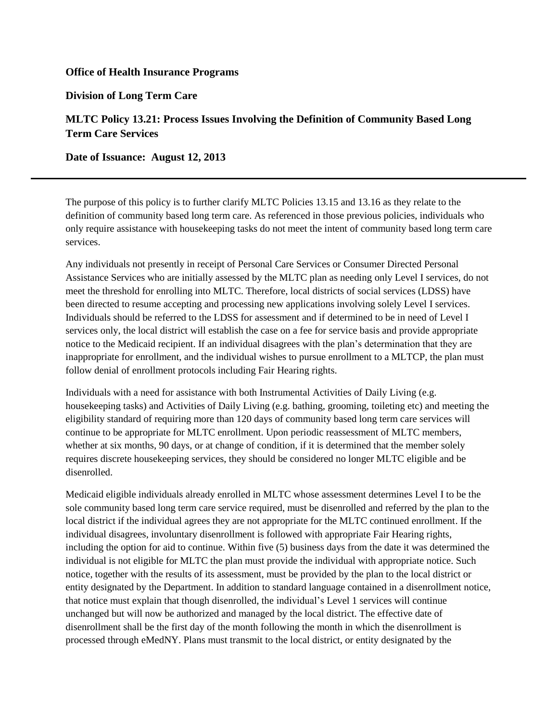## **Office of Health Insurance Programs**

**Division of Long Term Care**

## **MLTC Policy 13.21: Process Issues Involving the Definition of Community Based Long Term Care Services**

**Date of Issuance: August 12, 2013** 

The purpose of this policy is to further clarify MLTC Policies 13.15 and 13.16 as they relate to the definition of community based long term care. As referenced in those previous policies, individuals who only require assistance with housekeeping tasks do not meet the intent of community based long term care services.

Any individuals not presently in receipt of Personal Care Services or Consumer Directed Personal Assistance Services who are initially assessed by the MLTC plan as needing only Level I services, do not meet the threshold for enrolling into MLTC. Therefore, local districts of social services (LDSS) have been directed to resume accepting and processing new applications involving solely Level I services. Individuals should be referred to the LDSS for assessment and if determined to be in need of Level I services only, the local district will establish the case on a fee for service basis and provide appropriate notice to the Medicaid recipient. If an individual disagrees with the plan's determination that they are inappropriate for enrollment, and the individual wishes to pursue enrollment to a MLTCP, the plan must follow denial of enrollment protocols including Fair Hearing rights.

Individuals with a need for assistance with both Instrumental Activities of Daily Living (e.g. housekeeping tasks) and Activities of Daily Living (e.g. bathing, grooming, toileting etc) and meeting the eligibility standard of requiring more than 120 days of community based long term care services will continue to be appropriate for MLTC enrollment. Upon periodic reassessment of MLTC members, whether at six months, 90 days, or at change of condition, if it is determined that the member solely requires discrete housekeeping services, they should be considered no longer MLTC eligible and be disenrolled.

Medicaid eligible individuals already enrolled in MLTC whose assessment determines Level I to be the sole community based long term care service required, must be disenrolled and referred by the plan to the local district if the individual agrees they are not appropriate for the MLTC continued enrollment. If the individual disagrees, involuntary disenrollment is followed with appropriate Fair Hearing rights, including the option for aid to continue. Within five (5) business days from the date it was determined the individual is not eligible for MLTC the plan must provide the individual with appropriate notice. Such notice, together with the results of its assessment, must be provided by the plan to the local district or entity designated by the Department. In addition to standard language contained in a disenrollment notice, that notice must explain that though disenrolled, the individual's Level 1 services will continue unchanged but will now be authorized and managed by the local district. The effective date of disenrollment shall be the first day of the month following the month in which the disenrollment is processed through eMedNY. Plans must transmit to the local district, or entity designated by the